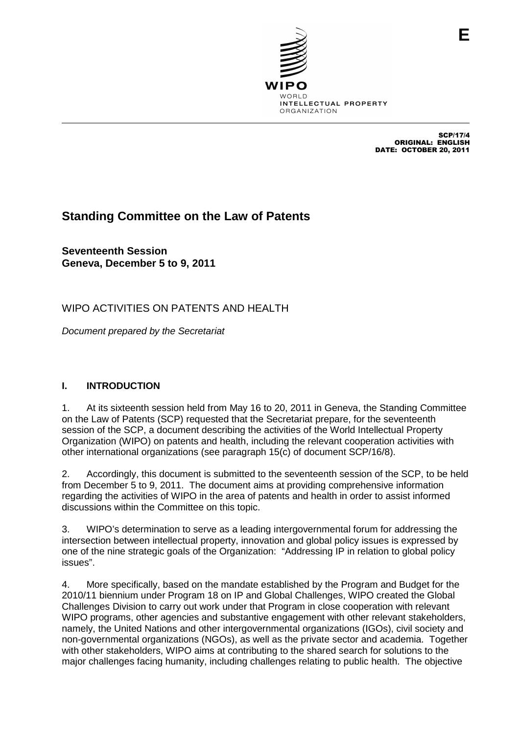

SCP/17/4 ORIGINAL: ENGLISH DATE: OCTOBER 20, 2011

# **Standing Committee on the Law of Patents**

**Seventeenth Session Geneva, December 5 to 9, 2011**

WIPO ACTIVITIES ON PATENTS AND HEALTH

Document prepared by the Secretariat

## **I. INTRODUCTION**

1. At its sixteenth session held from May 16 to 20, 2011 in Geneva, the Standing Committee on the Law of Patents (SCP) requested that the Secretariat prepare, for the seventeenth session of the SCP, a document describing the activities of the World Intellectual Property Organization (WIPO) on patents and health, including the relevant cooperation activities with other international organizations (see paragraph 15(c) of document SCP/16/8).

2. Accordingly, this document is submitted to the seventeenth session of the SCP, to be held from December 5 to 9, 2011. The document aims at providing comprehensive information regarding the activities of WIPO in the area of patents and health in order to assist informed discussions within the Committee on this topic.

3. WIPO's determination to serve as a leading intergovernmental forum for addressing the intersection between intellectual property, innovation and global policy issues is expressed by one of the nine strategic goals of the Organization: "Addressing IP in relation to global policy issues".

4. More specifically, based on the mandate established by the Program and Budget for the 2010/11 biennium under Program 18 on IP and Global Challenges, WIPO created the Global Challenges Division to carry out work under that Program in close cooperation with relevant WIPO programs, other agencies and substantive engagement with other relevant stakeholders, namely, the United Nations and other intergovernmental organizations (IGOs), civil society and non-governmental organizations (NGOs), as well as the private sector and academia. Together with other stakeholders, WIPO aims at contributing to the shared search for solutions to the major challenges facing humanity, including challenges relating to public health. The objective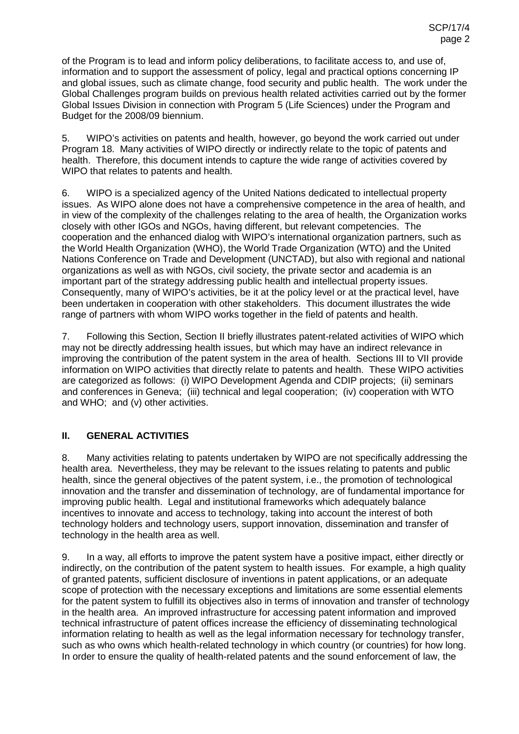of the Program is to lead and inform policy deliberations, to facilitate access to, and use of, information and to support the assessment of policy, legal and practical options concerning IP and global issues, such as climate change, food security and public health. The work under the Global Challenges program builds on previous health related activities carried out by the former Global Issues Division in connection with Program 5 (Life Sciences) under the Program and Budget for the 2008/09 biennium.

5. WIPO's activities on patents and health, however, go beyond the work carried out under Program 18. Many activities of WIPO directly or indirectly relate to the topic of patents and health. Therefore, this document intends to capture the wide range of activities covered by WIPO that relates to patents and health.

6. WIPO is a specialized agency of the United Nations dedicated to intellectual property issues. As WIPO alone does not have a comprehensive competence in the area of health, and in view of the complexity of the challenges relating to the area of health, the Organization works closely with other IGOs and NGOs, having different, but relevant competencies. The cooperation and the enhanced dialog with WIPO's international organization partners, such as the World Health Organization (WHO), the World Trade Organization (WTO) and the United Nations Conference on Trade and Development (UNCTAD), but also with regional and national organizations as well as with NGOs, civil society, the private sector and academia is an important part of the strategy addressing public health and intellectual property issues. Consequently, many of WIPO's activities, be it at the policy level or at the practical level, have been undertaken in cooperation with other stakeholders. This document illustrates the wide range of partners with whom WIPO works together in the field of patents and health.

7. Following this Section, Section II briefly illustrates patent-related activities of WIPO which may not be directly addressing health issues, but which may have an indirect relevance in improving the contribution of the patent system in the area of health. Sections III to VII provide information on WIPO activities that directly relate to patents and health. These WIPO activities are categorized as follows: (i) WIPO Development Agenda and CDIP projects; (ii) seminars and conferences in Geneva; (iii) technical and legal cooperation; (iv) cooperation with WTO and WHO; and (v) other activities.

## **II. GENERAL ACTIVITIES**

8. Many activities relating to patents undertaken by WIPO are not specifically addressing the health area. Nevertheless, they may be relevant to the issues relating to patents and public health, since the general objectives of the patent system, i.e., the promotion of technological innovation and the transfer and dissemination of technology, are of fundamental importance for improving public health. Legal and institutional frameworks which adequately balance incentives to innovate and access to technology, taking into account the interest of both technology holders and technology users, support innovation, dissemination and transfer of technology in the health area as well.

9. In a way, all efforts to improve the patent system have a positive impact, either directly or indirectly, on the contribution of the patent system to health issues. For example, a high quality of granted patents, sufficient disclosure of inventions in patent applications, or an adequate scope of protection with the necessary exceptions and limitations are some essential elements for the patent system to fulfill its objectives also in terms of innovation and transfer of technology in the health area. An improved infrastructure for accessing patent information and improved technical infrastructure of patent offices increase the efficiency of disseminating technological information relating to health as well as the legal information necessary for technology transfer, such as who owns which health-related technology in which country (or countries) for how long. In order to ensure the quality of health-related patents and the sound enforcement of law, the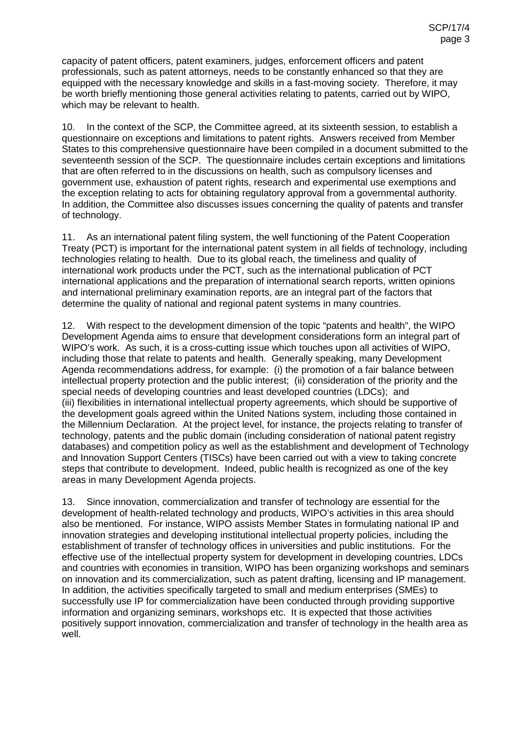capacity of patent officers, patent examiners, judges, enforcement officers and patent professionals, such as patent attorneys, needs to be constantly enhanced so that they are equipped with the necessary knowledge and skills in a fast-moving society. Therefore, it may be worth briefly mentioning those general activities relating to patents, carried out by WIPO, which may be relevant to health.

10. In the context of the SCP, the Committee agreed, at its sixteenth session, to establish a questionnaire on exceptions and limitations to patent rights. Answers received from Member States to this comprehensive questionnaire have been compiled in a document submitted to the seventeenth session of the SCP. The questionnaire includes certain exceptions and limitations that are often referred to in the discussions on health, such as compulsory licenses and government use, exhaustion of patent rights, research and experimental use exemptions and the exception relating to acts for obtaining regulatory approval from a governmental authority. In addition, the Committee also discusses issues concerning the quality of patents and transfer of technology.

11. As an international patent filing system, the well functioning of the Patent Cooperation Treaty (PCT) is important for the international patent system in all fields of technology, including technologies relating to health. Due to its global reach, the timeliness and quality of international work products under the PCT, such as the international publication of PCT international applications and the preparation of international search reports, written opinions and international preliminary examination reports, are an integral part of the factors that determine the quality of national and regional patent systems in many countries.

12. With respect to the development dimension of the topic "patents and health", the WIPO Development Agenda aims to ensure that development considerations form an integral part of WIPO's work. As such, it is a cross-cutting issue which touches upon all activities of WIPO, including those that relate to patents and health. Generally speaking, many Development Agenda recommendations address, for example: (i) the promotion of a fair balance between intellectual property protection and the public interest; (ii) consideration of the priority and the special needs of developing countries and least developed countries (LDCs); and (iii) flexibilities in international intellectual property agreements, which should be supportive of the development goals agreed within the United Nations system, including those contained in the Millennium Declaration. At the project level, for instance, the projects relating to transfer of technology, patents and the public domain (including consideration of national patent registry databases) and competition policy as well as the establishment and development of Technology and Innovation Support Centers (TISCs) have been carried out with a view to taking concrete steps that contribute to development. Indeed, public health is recognized as one of the key areas in many Development Agenda projects.

13. Since innovation, commercialization and transfer of technology are essential for the development of health-related technology and products, WIPO's activities in this area should also be mentioned. For instance, WIPO assists Member States in formulating national IP and innovation strategies and developing institutional intellectual property policies, including the establishment of transfer of technology offices in universities and public institutions. For the effective use of the intellectual property system for development in developing countries, LDCs and countries with economies in transition, WIPO has been organizing workshops and seminars on innovation and its commercialization, such as patent drafting, licensing and IP management. In addition, the activities specifically targeted to small and medium enterprises (SMEs) to successfully use IP for commercialization have been conducted through providing supportive information and organizing seminars, workshops etc. It is expected that those activities positively support innovation, commercialization and transfer of technology in the health area as well.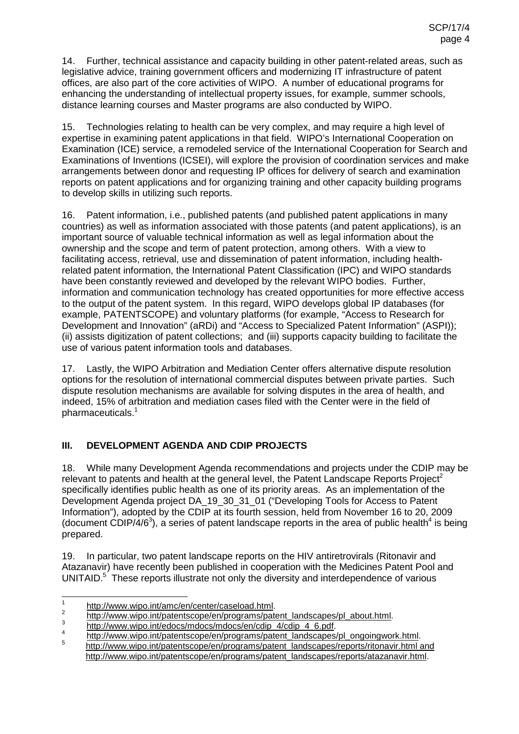14. Further, technical assistance and capacity building in other patent-related areas, such as legislative advice, training government officers and modernizing IT infrastructure of patent offices, are also part of the core activities of WIPO. A number of educational programs for enhancing the understanding of intellectual property issues, for example, summer schools, distance learning courses and Master programs are also conducted by WIPO.

15. Technologies relating to health can be very complex, and may require a high level of expertise in examining patent applications in that field. WIPO's International Cooperation on Examination (ICE) service, a remodeled service of the International Cooperation for Search and Examinations of Inventions (ICSEI), will explore the provision of coordination services and make arrangements between donor and requesting IP offices for delivery of search and examination reports on patent applications and for organizing training and other capacity building programs to develop skills in utilizing such reports.

16. Patent information, i.e., published patents (and published patent applications in many countries) as well as information associated with those patents (and patent applications), is an important source of valuable technical information as well as legal information about the ownership and the scope and term of patent protection, among others. With a view to facilitating access, retrieval, use and dissemination of patent information, including healthrelated patent information, the International Patent Classification (IPC) and WIPO standards have been constantly reviewed and developed by the relevant WIPO bodies. Further, information and communication technology has created opportunities for more effective access to the output of the patent system. In this regard, WIPO develops global IP databases (for example, PATENTSCOPE) and voluntary platforms (for example, "Access to Research for Development and Innovation" (aRDi) and "Access to Specialized Patent Information" (ASPI)); (ii) assists digitization of patent collections; and (iii) supports capacity building to facilitate the use of various patent information tools and databases.

17. Lastly, the WIPO Arbitration and Mediation Center offers alternative dispute resolution options for the resolution of international commercial disputes between private parties. Such dispute resolution mechanisms are available for solving disputes in the area of health, and indeed, 15% of arbitration and mediation cases filed with the Center were in the field of pharmaceuticals.<sup>1</sup>

## **III. DEVELOPMENT AGENDA AND CDIP PROJECTS**

18. While many Development Agenda recommendations and projects under the CDIP may be relevant to patents and health at the general level, the Patent Landscape Reports Project<sup>2</sup> specifically identifies public health as one of its priority areas. As an implementation of the Development Agenda project DA\_19\_30\_31\_01 ("Developing Tools for Access to Patent Information"), adopted by the CDIP at its fourth session, held from November 16 to 20, 2009 (document CDIP/4/6<sup>3</sup>), a series of patent landscape reports in the area of public health<sup>4</sup> is being prepared.

19. In particular, two patent landscape reports on the HIV antiretrovirals (Ritonavir and Atazanavir) have recently been published in cooperation with the Medicines Patent Pool and UNITAID.<sup>5</sup> These reports illustrate not only the diversity and interdependence of various

http://www.wipo.int/amc/en/center/caseload.html.<br>
http://www.wipo.int/patentscope/en/programs/patent\_landscapes/pl\_about.html.<br>
http://www.wipo.int/edocs/mdocs/mdocs/en/cdip\_4/cdip\_4\_6.pdf.<br>
http://www.wipo.int/patentscope

http://www.wipo.int/patentscope/en/programs/patent\_landscapes/reports/atazanavir.html.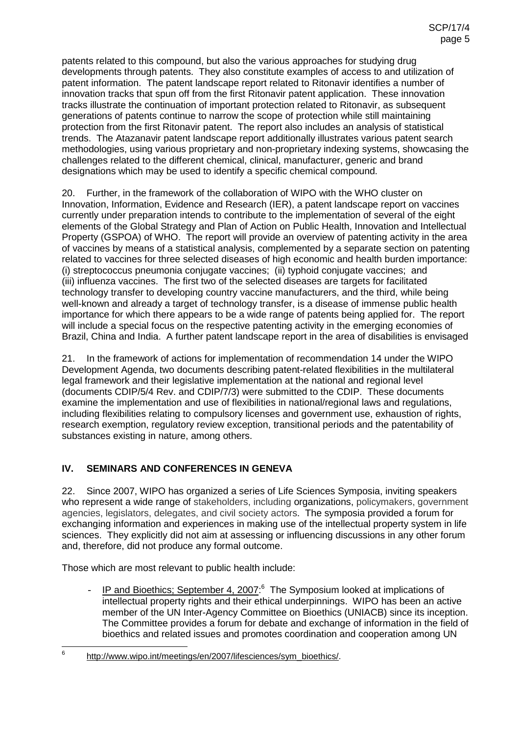patents related to this compound, but also the various approaches for studying drug developments through patents. They also constitute examples of access to and utilization of patent information. The patent landscape report related to Ritonavir identifies a number of innovation tracks that spun off from the first Ritonavir patent application. These innovation tracks illustrate the continuation of important protection related to Ritonavir, as subsequent generations of patents continue to narrow the scope of protection while still maintaining protection from the first Ritonavir patent. The report also includes an analysis of statistical trends. The Atazanavir patent landscape report additionally illustrates various patent search methodologies, using various proprietary and non-proprietary indexing systems, showcasing the challenges related to the different chemical, clinical, manufacturer, generic and brand designations which may be used to identify a specific chemical compound.

20. Further, in the framework of the collaboration of WIPO with the WHO cluster on Innovation, Information, Evidence and Research (IER), a patent landscape report on vaccines currently under preparation intends to contribute to the implementation of several of the eight elements of the Global Strategy and Plan of Action on Public Health, Innovation and Intellectual Property (GSPOA) of WHO. The report will provide an overview of patenting activity in the area of vaccines by means of a statistical analysis, complemented by a separate section on patenting related to vaccines for three selected diseases of high economic and health burden importance: (i) streptococcus pneumonia conjugate vaccines; (ii) typhoid conjugate vaccines; and (iii) influenza vaccines. The first two of the selected diseases are targets for facilitated technology transfer to developing country vaccine manufacturers, and the third, while being well-known and already a target of technology transfer, is a disease of immense public health importance for which there appears to be a wide range of patents being applied for. The report will include a special focus on the respective patenting activity in the emerging economies of Brazil, China and India. A further patent landscape report in the area of disabilities is envisaged

21. In the framework of actions for implementation of recommendation 14 under the WIPO Development Agenda, two documents describing patent-related flexibilities in the multilateral legal framework and their legislative implementation at the national and regional level (documents CDIP/5/4 Rev. and CDIP/7/3) were submitted to the CDIP. These documents examine the implementation and use of flexibilities in national/regional laws and regulations, including flexibilities relating to compulsory licenses and government use, exhaustion of rights, research exemption, regulatory review exception, transitional periods and the patentability of substances existing in nature, among others.

## **IV. SEMINARS AND CONFERENCES IN GENEVA**

22. Since 2007, WIPO has organized a series of Life Sciences Symposia, inviting speakers who represent a wide range of stakeholders, including organizations, policymakers, government agencies, legislators, delegates, and civil society actors. The symposia provided a forum for exchanging information and experiences in making use of the intellectual property system in life sciences. They explicitly did not aim at assessing or influencing discussions in any other forum and, therefore, did not produce any formal outcome.

Those which are most relevant to public health include:

- IP and Bioethics; September 4, 2007:<sup>6</sup> The Symposium looked at implications of intellectual property rights and their ethical underpinnings. WIPO has been an active member of the UN Inter-Agency Committee on Bioethics (UNIACB) since its inception. The Committee provides a forum for debate and exchange of information in the field of bioethics and related issues and promotes coordination and cooperation among UN

<sup>6</sup> http://www.wipo.int/meetings/en/2007/lifesciences/sym\_bioethics/.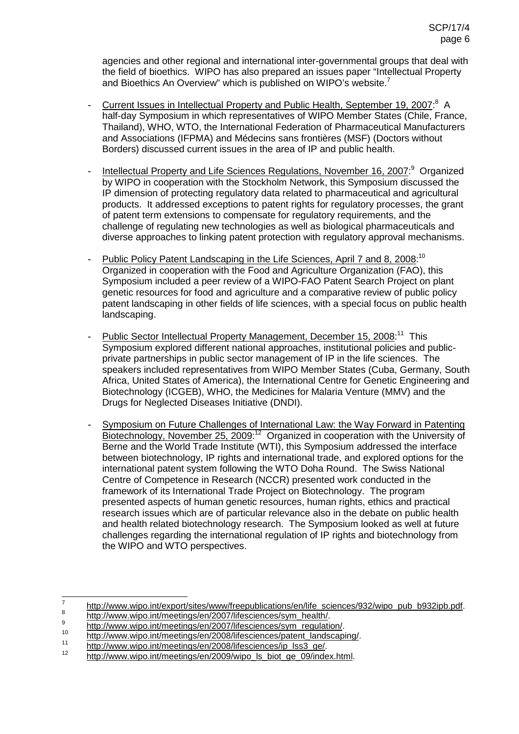agencies and other regional and international inter-governmental groups that deal with the field of bioethics. WIPO has also prepared an issues paper "Intellectual Property and Bioethics An Overview" which is published on WIPO's website.<sup>7</sup>

- Current Issues in Intellectual Property and Public Health, September 19, 2007:<sup>8</sup> A half-day Symposium in which representatives of WIPO Member States (Chile, France, Thailand), WHO, WTO, the International Federation of Pharmaceutical Manufacturers and Associations (IFPMA) and Médecins sans frontières (MSF) (Doctors without Borders) discussed current issues in the area of IP and public health.
- Intellectual Property and Life Sciences Regulations, November 16, 2007:<sup>9</sup> Organized by WIPO in cooperation with the Stockholm Network, this Symposium discussed the IP dimension of protecting regulatory data related to pharmaceutical and agricultural products. It addressed exceptions to patent rights for regulatory processes, the grant of patent term extensions to compensate for regulatory requirements, and the challenge of regulating new technologies as well as biological pharmaceuticals and diverse approaches to linking patent protection with regulatory approval mechanisms.
- Public Policy Patent Landscaping in the Life Sciences, April 7 and 8, 2008:<sup>10</sup> Organized in cooperation with the Food and Agriculture Organization (FAO), this Symposium included a peer review of a WIPO-FAO Patent Search Project on plant genetic resources for food and agriculture and a comparative review of public policy patent landscaping in other fields of life sciences, with a special focus on public health landscaping.
- Public Sector Intellectual Property Management, December 15, 2008:<sup>11</sup> This Symposium explored different national approaches, institutional policies and publicprivate partnerships in public sector management of IP in the life sciences. The speakers included representatives from WIPO Member States (Cuba, Germany, South Africa, United States of America), the International Centre for Genetic Engineering and Biotechnology (ICGEB), WHO, the Medicines for Malaria Venture (MMV) and the Drugs for Neglected Diseases Initiative (DNDI).
- Symposium on Future Challenges of International Law: the Way Forward in Patenting Biotechnology, November 25, 2009:<sup>12</sup> Organized in cooperation with the University of Berne and the World Trade Institute (WTI), this Symposium addressed the interface between biotechnology, IP rights and international trade, and explored options for the international patent system following the WTO Doha Round. The Swiss National Centre of Competence in Research (NCCR) presented work conducted in the framework of its International Trade Project on Biotechnology. The program presented aspects of human genetic resources, human rights, ethics and practical research issues which are of particular relevance also in the debate on public health and health related biotechnology research. The Symposium looked as well at future challenges regarding the international regulation of IP rights and biotechnology from the WIPO and WTO perspectives.

http://www.wipo.int/export/sites/www/freepublications/en/life\_sciences/932/wipo\_pub\_b932ipb.pdf<br>
http://www.wipo.int/meetings/en/2007/lifesciences/sym\_health/.<br>
http://www.wipo.int/meetings/en/2007/lifesciences/sym\_regulat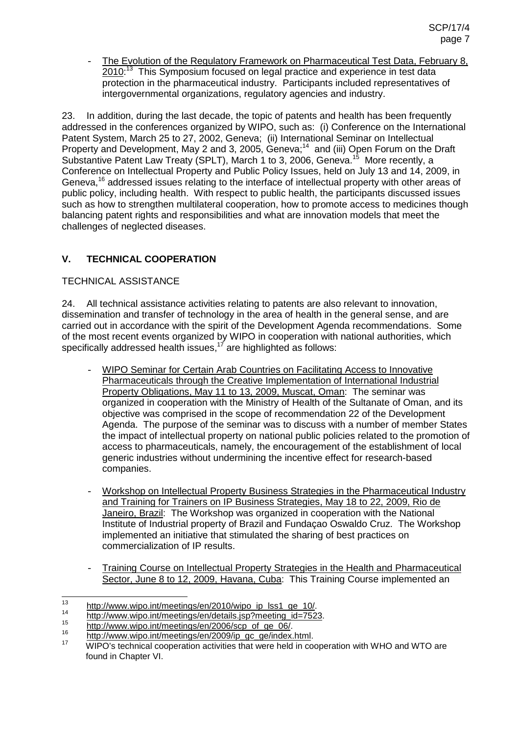- The Evolution of the Regulatory Framework on Pharmaceutical Test Data, February 8, 2010<sup>:13</sup> This Symposium focused on legal practice and experience in test data protection in the pharmaceutical industry. Participants included representatives of intergovernmental organizations, regulatory agencies and industry.

23. In addition, during the last decade, the topic of patents and health has been frequently addressed in the conferences organized by WIPO, such as: (i) Conference on the International Patent System, March 25 to 27, 2002, Geneva; (ii) International Seminar on Intellectual Property and Development, May 2 and 3, 2005, Geneva;<sup>14</sup> and (iii) Open Forum on the Draft Substantive Patent Law Treaty (SPLT), March 1 to 3, 2006, Geneva.<sup>15</sup> More recently, a Conference on Intellectual Property and Public Policy Issues, held on July 13 and 14, 2009, in Geneva,<sup>16</sup> addressed issues relating to the interface of intellectual property with other areas of public policy, including health. With respect to public health, the participants discussed issues such as how to strengthen multilateral cooperation, how to promote access to medicines though balancing patent rights and responsibilities and what are innovation models that meet the challenges of neglected diseases.

## **V. TECHNICAL COOPERATION**

## TECHNICAL ASSISTANCE

24. All technical assistance activities relating to patents are also relevant to innovation, dissemination and transfer of technology in the area of health in the general sense, and are carried out in accordance with the spirit of the Development Agenda recommendations. Some of the most recent events organized by WIPO in cooperation with national authorities, which specifically addressed health issues, $17$  are highlighted as follows:

- WIPO Seminar for Certain Arab Countries on Facilitating Access to Innovative Pharmaceuticals through the Creative Implementation of International Industrial Property Obligations, May 11 to 13, 2009, Muscat, Oman: The seminar was organized in cooperation with the Ministry of Health of the Sultanate of Oman, and its objective was comprised in the scope of recommendation 22 of the Development Agenda. The purpose of the seminar was to discuss with a number of member States the impact of intellectual property on national public policies related to the promotion of access to pharmaceuticals, namely, the encouragement of the establishment of local generic industries without undermining the incentive effect for research-based companies.
- Workshop on Intellectual Property Business Strategies in the Pharmaceutical Industry and Training for Trainers on IP Business Strategies, May 18 to 22, 2009, Rio de Janeiro, Brazil: The Workshop was organized in cooperation with the National Institute of Industrial property of Brazil and Fundaçao Oswaldo Cruz. The Workshop implemented an initiative that stimulated the sharing of best practices on commercialization of IP results.
- Training Course on Intellectual Property Strategies in the Health and Pharmaceutical Sector, June 8 to 12, 2009, Havana, Cuba: This Training Course implemented an

<sup>13&</sup>lt;br>
http://www.wipo.int/meetings/en/2010/wipo\_ip\_lss1\_ge\_10/.<br>
http://www.wipo.int/meetings/en/details.jsp?meeting\_id=7523.<br>
http://www.wipo.int/meetings/en/2006/scp\_of\_ge\_06/.<br>
http://www.wipo.int/meetings/en/2009/ip\_gc\_g found in Chapter VI.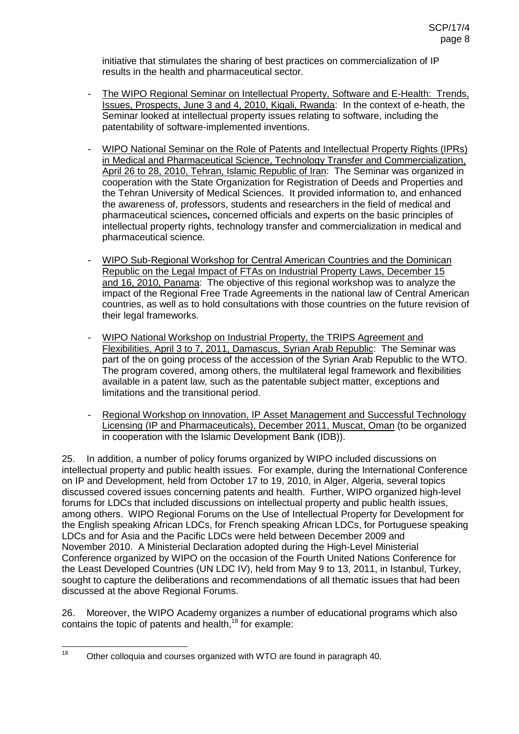initiative that stimulates the sharing of best practices on commercialization of IP results in the health and pharmaceutical sector.

- The WIPO Regional Seminar on Intellectual Property, Software and E-Health: Trends, Issues, Prospects, June 3 and 4, 2010, Kigali, Rwanda: In the context of e-heath, the Seminar looked at intellectual property issues relating to software, including the patentability of software-implemented inventions.
- WIPO National Seminar on the Role of Patents and Intellectual Property Rights (IPRs) in Medical and Pharmaceutical Science, Technology Transfer and Commercialization, April 26 to 28, 2010, Tehran, Islamic Republic of Iran: The Seminar was organized in cooperation with the State Organization for Registration of Deeds and Properties and the Tehran University of Medical Sciences. It provided information to, and enhanced the awareness of, professors, students and researchers in the field of medical and pharmaceutical sciences**,** concerned officials and experts on the basic principles of intellectual property rights, technology transfer and commercialization in medical and pharmaceutical science.
- WIPO Sub-Regional Workshop for Central American Countries and the Dominican Republic on the Legal Impact of FTAs on Industrial Property Laws, December 15 and 16, 2010, Panama: The objective of this regional workshop was to analyze the impact of the Regional Free Trade Agreements in the national law of Central American countries, as well as to hold consultations with those countries on the future revision of their legal frameworks.
- WIPO National Workshop on Industrial Property, the TRIPS Agreement and Flexibilities, April 3 to 7, 2011, Damascus, Syrian Arab Republic: The Seminar was part of the on going process of the accession of the Syrian Arab Republic to the WTO. The program covered, among others, the multilateral legal framework and flexibilities available in a patent law, such as the patentable subject matter, exceptions and limitations and the transitional period.
- Regional Workshop on Innovation, IP Asset Management and Successful Technology Licensing (IP and Pharmaceuticals), December 2011, Muscat, Oman (to be organized in cooperation with the Islamic Development Bank (IDB)).

25. In addition, a number of policy forums organized by WIPO included discussions on intellectual property and public health issues. For example, during the International Conference on IP and Development, held from October 17 to 19, 2010, in Alger, Algeria, several topics discussed covered issues concerning patents and health. Further, WIPO organized high-level forums for LDCs that included discussions on intellectual property and public health issues, among others. WIPO Regional Forums on the Use of Intellectual Property for Development for the English speaking African LDCs, for French speaking African LDCs, for Portuguese speaking LDCs and for Asia and the Pacific LDCs were held between December 2009 and November 2010. A Ministerial Declaration adopted during the High-Level Ministerial Conference organized by WIPO on the occasion of the Fourth United Nations Conference for the Least Developed Countries (UN LDC IV), held from May 9 to 13, 2011, in Istanbul, Turkey, sought to capture the deliberations and recommendations of all thematic issues that had been discussed at the above Regional Forums.

26. Moreover, the WIPO Academy organizes a number of educational programs which also contains the topic of patents and health,<sup>18</sup> for example:

<sup>&</sup>lt;sup>18</sup> Other colloquia and courses organized with WTO are found in paragraph 40.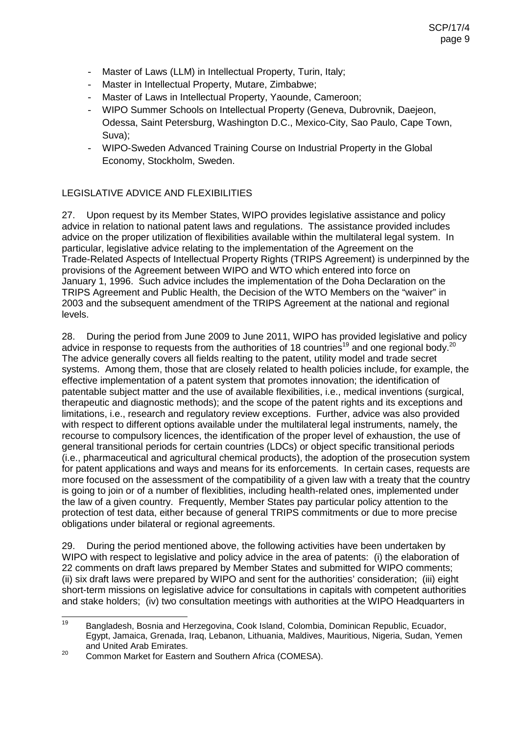- Master of Laws (LLM) in Intellectual Property, Turin, Italy;
- Master in Intellectual Property, Mutare, Zimbabwe;
- Master of Laws in Intellectual Property, Yaounde, Cameroon;
- WIPO Summer Schools on Intellectual Property (Geneva, Dubrovnik, Daejeon, Odessa, Saint Petersburg, Washington D.C., Mexico-City, Sao Paulo, Cape Town, Suva);
- WIPO-Sweden Advanced Training Course on Industrial Property in the Global Economy, Stockholm, Sweden.

## LEGISLATIVE ADVICE AND FLEXIBILITIES

27. Upon request by its Member States, WIPO provides legislative assistance and policy advice in relation to national patent laws and regulations. The assistance provided includes advice on the proper utilization of flexibilities available within the multilateral legal system. In particular, legislative advice relating to the implementation of the Agreement on the Trade-Related Aspects of Intellectual Property Rights (TRIPS Agreement) is underpinned by the provisions of the Agreement between WIPO and WTO which entered into force on January 1, 1996. Such advice includes the implementation of the Doha Declaration on the TRIPS Agreement and Public Health, the Decision of the WTO Members on the "waiver" in 2003 and the subsequent amendment of the TRIPS Agreement at the national and regional levels.

28. During the period from June 2009 to June 2011, WIPO has provided legislative and policy advice in response to requests from the authorities of 18 countries<sup>19</sup> and one regional body.<sup>20</sup> The advice generally covers all fields realting to the patent, utility model and trade secret systems. Among them, those that are closely related to health policies include, for example, the effective implementation of a patent system that promotes innovation; the identification of patentable subject matter and the use of available flexibilities, i.e., medical inventions (surgical, therapeutic and diagnostic methods); and the scope of the patent rights and its exceptions and limitations, i.e., research and regulatory review exceptions. Further, advice was also provided with respect to different options available under the multilateral legal instruments, namely, the recourse to compulsory licences, the identification of the proper level of exhaustion, the use of general transitional periods for certain countries (LDCs) or object specific transitional periods (i.e., pharmaceutical and agricultural chemical products), the adoption of the prosecution system for patent applications and ways and means for its enforcements. In certain cases, requests are more focused on the assessment of the compatibility of a given law with a treaty that the country is going to join or of a number of flexiblities, including health-related ones, implemented under the law of a given country. Frequently, Member States pay particular policy attention to the protection of test data, either because of general TRIPS commitments or due to more precise obligations under bilateral or regional agreements.

29. During the period mentioned above, the following activities have been undertaken by WIPO with respect to legislative and policy advice in the area of patents: (i) the elaboration of 22 comments on draft laws prepared by Member States and submitted for WIPO comments; (ii) six draft laws were prepared by WIPO and sent for the authorities' consideration; (iii) eight short-term missions on legislative advice for consultations in capitals with competent authorities and stake holders; (iv) two consultation meetings with authorities at the WIPO Headquarters in

<sup>19</sup> Bangladesh, Bosnia and Herzegovina, Cook Island, Colombia, Dominican Republic, Ecuador, Egypt, Jamaica, Grenada, Iraq, Lebanon, Lithuania, Maldives, Mauritious, Nigeria, Sudan, Yemen and United Arab Emirates.<br><sup>20</sup> Common Market for Eastern and Southern Africa (COMESA).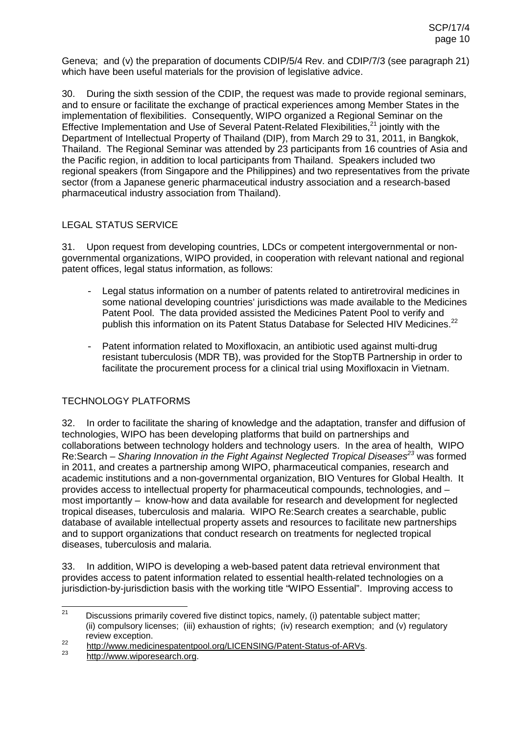Geneva; and (v) the preparation of documents CDIP/5/4 Rev. and CDIP/7/3 (see paragraph 21) which have been useful materials for the provision of legislative advice.

30. During the sixth session of the CDIP, the request was made to provide regional seminars, and to ensure or facilitate the exchange of practical experiences among Member States in the implementation of flexibilities. Consequently, WIPO organized a Regional Seminar on the Effective Implementation and Use of Several Patent-Related Flexibilities, $21$  jointly with the Department of Intellectual Property of Thailand (DIP), from March 29 to 31, 2011, in Bangkok, Thailand. The Regional Seminar was attended by 23 participants from 16 countries of Asia and the Pacific region, in addition to local participants from Thailand. Speakers included two regional speakers (from Singapore and the Philippines) and two representatives from the private sector (from a Japanese generic pharmaceutical industry association and a research-based pharmaceutical industry association from Thailand).

### LEGAL STATUS SERVICE

31. Upon request from developing countries, LDCs or competent intergovernmental or nongovernmental organizations, WIPO provided, in cooperation with relevant national and regional patent offices, legal status information, as follows:

- Legal status information on a number of patents related to antiretroviral medicines in some national developing countries' jurisdictions was made available to the Medicines Patent Pool. The data provided assisted the Medicines Patent Pool to verify and publish this information on its Patent Status Database for Selected HIV Medicines.<sup>22</sup>
- Patent information related to Moxifloxacin, an antibiotic used against multi-drug resistant tuberculosis (MDR TB), was provided for the StopTB Partnership in order to facilitate the procurement process for a clinical trial using Moxifloxacin in Vietnam.

## TECHNOLOGY PLATFORMS

32. In order to facilitate the sharing of knowledge and the adaptation, transfer and diffusion of technologies, WIPO has been developing platforms that build on partnerships and collaborations between technology holders and technology users. In the area of health, WIPO Re:Search – Sharing Innovation in the Fight Against Neglected Tropical Diseases<sup>23</sup> was formed in 2011, and creates a partnership among WIPO, pharmaceutical companies, research and academic institutions and a non-governmental organization, BIO Ventures for Global Health. It provides access to intellectual property for pharmaceutical compounds, technologies, and – most importantly – know-how and data available for research and development for neglected tropical diseases, tuberculosis and malaria. WIPO Re:Search creates a searchable, public database of available intellectual property assets and resources to facilitate new partnerships and to support organizations that conduct research on treatments for neglected tropical diseases, tuberculosis and malaria.

33. In addition, WIPO is developing a web-based patent data retrieval environment that provides access to patent information related to essential health-related technologies on a jurisdiction-by-jurisdiction basis with the working title "WIPO Essential". Improving access to

 $21$  Discussions primarily covered five distinct topics, namely, (i) patentable subject matter; (ii) compulsory licenses; (iii) exhaustion of rights; (iv) research exemption; and (v) regulatory

review exception.<br>
22 http://www.medicinespatentpool.org/LICENSING/Patent-Status-of-ARVs.<br>
23 http://www.wiporesearch.org.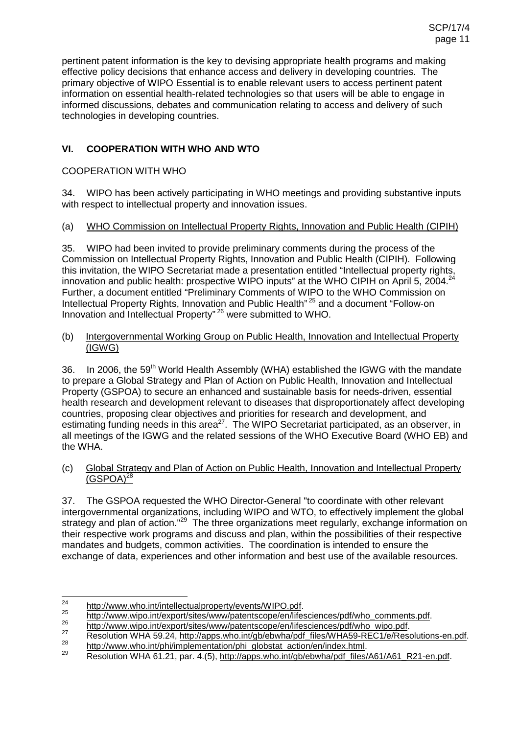pertinent patent information is the key to devising appropriate health programs and making effective policy decisions that enhance access and delivery in developing countries. The primary objective of WIPO Essential is to enable relevant users to access pertinent patent information on essential health-related technologies so that users will be able to engage in informed discussions, debates and communication relating to access and delivery of such technologies in developing countries.

## **VI. COOPERATION WITH WHO AND WTO**

### COOPERATION WITH WHO

34. WIPO has been actively participating in WHO meetings and providing substantive inputs with respect to intellectual property and innovation issues.

### (a) WHO Commission on Intellectual Property Rights, Innovation and Public Health (CIPIH)

35. WIPO had been invited to provide preliminary comments during the process of the Commission on Intellectual Property Rights, Innovation and Public Health (CIPIH). Following this invitation, the WIPO Secretariat made a presentation entitled "Intellectual property rights, innovation and public health: prospective WIPO inputs" at the WHO CIPIH on April 5, 2004.<sup>24</sup> Further, a document entitled "Preliminary Comments of WIPO to the WHO Commission on Intellectual Property Rights, Innovation and Public Health" <sup>25</sup> and a document "Follow-on Innovation and Intellectual Property" <sup>26</sup> were submitted to WHO.

#### (b) Intergovernmental Working Group on Public Health, Innovation and Intellectual Property (IGWG)

36. In 2006, the 59<sup>th</sup> World Health Assembly (WHA) established the IGWG with the mandate to prepare a Global Strategy and Plan of Action on Public Health, Innovation and Intellectual Property (GSPOA) to secure an enhanced and sustainable basis for needs-driven, essential health research and development relevant to diseases that disproportionately affect developing countries, proposing clear objectives and priorities for research and development, and estimating funding needs in this area<sup>27</sup>. The WIPO Secretariat participated, as an observer, in all meetings of the IGWG and the related sessions of the WHO Executive Board (WHO EB) and the WHA.

#### (c) Global Strategy and Plan of Action on Public Health, Innovation and Intellectual Property  $(GSPOA)^{28}$

37. The GSPOA requested the WHO Director-General "to coordinate with other relevant intergovernmental organizations, including WIPO and WTO, to effectively implement the global strategy and plan of action."<sup>29</sup> The three organizations meet regularly, exchange information on their respective work programs and discuss and plan, within the possibilities of their respective mandates and budgets, common activities. The coordination is intended to ensure the exchange of data, experiences and other information and best use of the available resources.

http://www.who.int/intellectualproperty/events/WIPO.pdf.<br>
http://www.wipo.int/export/sites/www/patentscope/en/lifesciences/pdf/who\_comments.pdf.<br>
http://www.wipo.int/export/sites/www/patentscope/en/lifesciences/pdf/who\_wip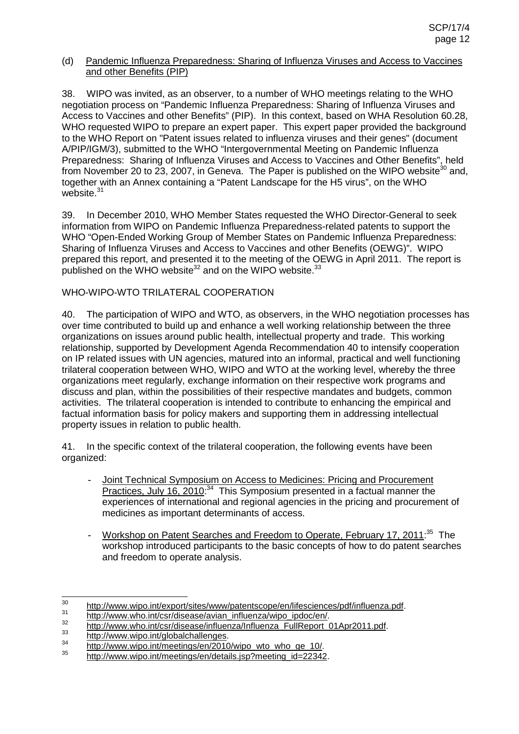#### (d) Pandemic Influenza Preparedness: Sharing of Influenza Viruses and Access to Vaccines and other Benefits (PIP)

38. WIPO was invited, as an observer, to a number of WHO meetings relating to the WHO negotiation process on "Pandemic Influenza Preparedness: Sharing of Influenza Viruses and Access to Vaccines and other Benefits" (PIP). In this context, based on WHA Resolution 60.28, WHO requested WIPO to prepare an expert paper. This expert paper provided the background to the WHO Report on "Patent issues related to influenza viruses and their genes" (document A/PIP/IGM/3), submitted to the WHO "Intergovernmental Meeting on Pandemic Influenza Preparedness: Sharing of Influenza Viruses and Access to Vaccines and Other Benefits", held from November 20 to  $23$ , 2007, in Geneva. The Paper is published on the WIPO website<sup>30</sup> and, together with an Annex containing a "Patent Landscape for the H5 virus", on the WHO website.<sup>31</sup>

39. In December 2010, WHO Member States requested the WHO Director-General to seek information from WIPO on Pandemic Influenza Preparedness-related patents to support the WHO "Open-Ended Working Group of Member States on Pandemic Influenza Preparedness: Sharing of Influenza Viruses and Access to Vaccines and other Benefits (OEWG)". WIPO prepared this report, and presented it to the meeting of the OEWG in April 2011. The report is published on the WHO website $^{32}$  and on the WIPO website.  $^{33}$ 

## WHO-WIPO-WTO TRILATERAL COOPERATION

40. The participation of WIPO and WTO, as observers, in the WHO negotiation processes has over time contributed to build up and enhance a well working relationship between the three organizations on issues around public health, intellectual property and trade. This working relationship, supported by Development Agenda Recommendation 40 to intensify cooperation on IP related issues with UN agencies, matured into an informal, practical and well functioning trilateral cooperation between WHO, WIPO and WTO at the working level, whereby the three organizations meet regularly, exchange information on their respective work programs and discuss and plan, within the possibilities of their respective mandates and budgets, common activities. The trilateral cooperation is intended to contribute to enhancing the empirical and factual information basis for policy makers and supporting them in addressing intellectual property issues in relation to public health.

41. In the specific context of the trilateral cooperation, the following events have been organized:

- Joint Technical Symposium on Access to Medicines: Pricing and Procurement Practices, July 16, 2010<sup>34</sup> This Symposium presented in a factual manner the experiences of international and regional agencies in the pricing and procurement of medicines as important determinants of access.
- Workshop on Patent Searches and Freedom to Operate, February 17, 2011:<sup>35</sup> The workshop introduced participants to the basic concepts of how to do patent searches and freedom to operate analysis.

<sup>30&</sup>lt;br>
http://www.wipo.int/export/sites/www/patentscope/en/lifesciences/pdf/influenza.pdf<br>
http://www.who.int/csr/disease/avian\_influenza/wipo\_ipdoc/en/.<br>
http://www.who.int/csr/disease/influenza/Influenza\_FullReport\_01Apr201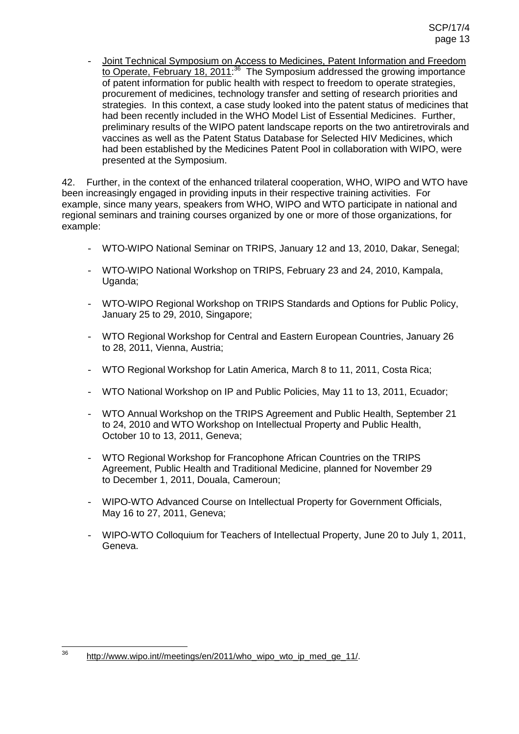- Joint Technical Symposium on Access to Medicines, Patent Information and Freedom to Operate, February 18, 2011:<sup>36</sup> The Symposium addressed the growing importance of patent information for public health with respect to freedom to operate strategies, procurement of medicines, technology transfer and setting of research priorities and strategies. In this context, a case study looked into the patent status of medicines that had been recently included in the WHO Model List of Essential Medicines. Further, preliminary results of the WIPO patent landscape reports on the two antiretrovirals and vaccines as well as the Patent Status Database for Selected HIV Medicines, which had been established by the Medicines Patent Pool in collaboration with WIPO, were presented at the Symposium.

42. Further, in the context of the enhanced trilateral cooperation, WHO, WIPO and WTO have been increasingly engaged in providing inputs in their respective training activities. For example, since many years, speakers from WHO, WIPO and WTO participate in national and regional seminars and training courses organized by one or more of those organizations, for example:

- WTO-WIPO National Seminar on TRIPS, January 12 and 13, 2010, Dakar, Senegal;
- WTO-WIPO National Workshop on TRIPS, February 23 and 24, 2010, Kampala, Uganda;
- WTO-WIPO Regional Workshop on TRIPS Standards and Options for Public Policy, January 25 to 29, 2010, Singapore;
- WTO Regional Workshop for Central and Eastern European Countries, January 26 to 28, 2011, Vienna, Austria;
- WTO Regional Workshop for Latin America, March 8 to 11, 2011, Costa Rica;
- WTO National Workshop on IP and Public Policies, May 11 to 13, 2011, Ecuador;
- WTO Annual Workshop on the TRIPS Agreement and Public Health, September 21 to 24, 2010 and WTO Workshop on Intellectual Property and Public Health, October 10 to 13, 2011, Geneva;
- WTO Regional Workshop for Francophone African Countries on the TRIPS Agreement, Public Health and Traditional Medicine, planned for November 29 to December 1, 2011, Douala, Cameroun;
- WIPO-WTO Advanced Course on Intellectual Property for Government Officials, May 16 to 27, 2011, Geneva;
- WIPO-WTO Colloquium for Teachers of Intellectual Property, June 20 to July 1, 2011, Geneva.

 $36$  http://www.wipo.int//meetings/en/2011/who\_wipo\_wto\_ip\_med\_ge\_11/.